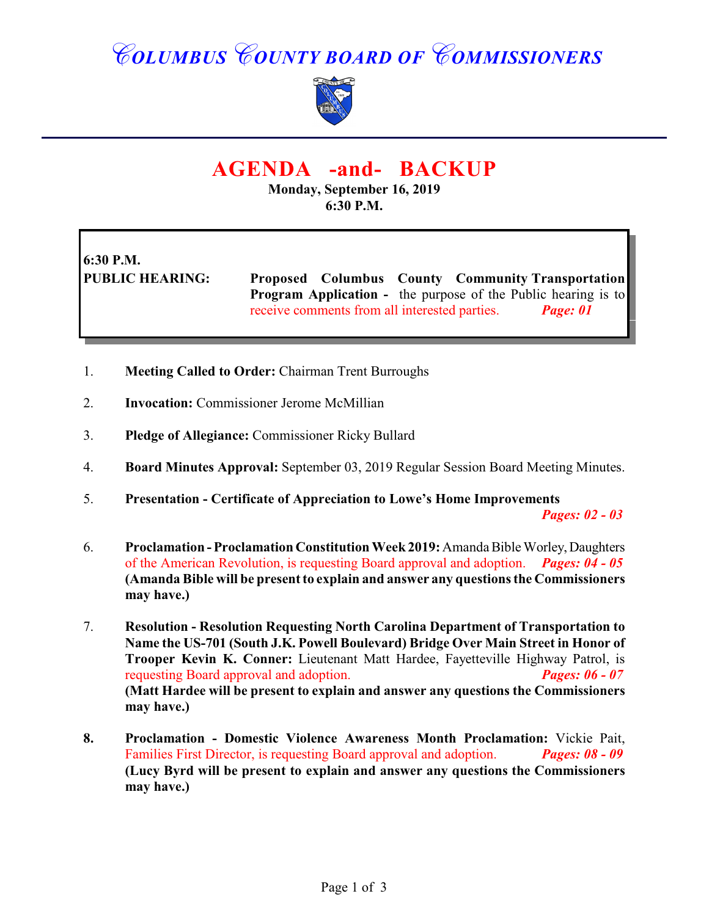## *COLUMBUS COUNTY BOARD OF COMMISSIONERS*



### **AGENDA -and- BACKUP**

**Monday, September 16, 2019 6:30 P.M.**

# **6:30 P.M.**

**PUBLIC HEARING: Proposed Columbus County Community Transportation Program Application -** the purpose of the Public hearing is to receive comments from all interested parties. *Page: 01*

- 1. **Meeting Called to Order:** Chairman Trent Burroughs
- 2. **Invocation:** Commissioner Jerome McMillian
- 3. **Pledge of Allegiance:** Commissioner Ricky Bullard
- 4. **Board Minutes Approval:** September 03, 2019 Regular Session Board Meeting Minutes.
- 5. **Presentation Certificate of Appreciation to Lowe's Home Improvements**

*Pages: 02 - 03*

- 6. **Proclamation Proclamation Constitution Week 2019:** Amanda Bible Worley, Daughters of the American Revolution, is requesting Board approval and adoption. *Pages: 04 - 05* **(Amanda Bible will be present to explain and answer any questions the Commissioners may have.)**
- 7. **Resolution Resolution Requesting North Carolina Department of Transportation to Name the US-701 (South J.K. Powell Boulevard) Bridge Over Main Street in Honor of Trooper Kevin K. Conner:** Lieutenant Matt Hardee, Fayetteville Highway Patrol, is requesting Board approval and adoption. *Pages: 06 - 07* **(Matt Hardee will be present to explain and answer any questions the Commissioners may have.)**
- **8. Proclamation Domestic Violence Awareness Month Proclamation:** Vickie Pait, Families First Director, is requesting Board approval and adoption. *Pages: 08 - 09* **(Lucy Byrd will be present to explain and answer any questions the Commissioners may have.)**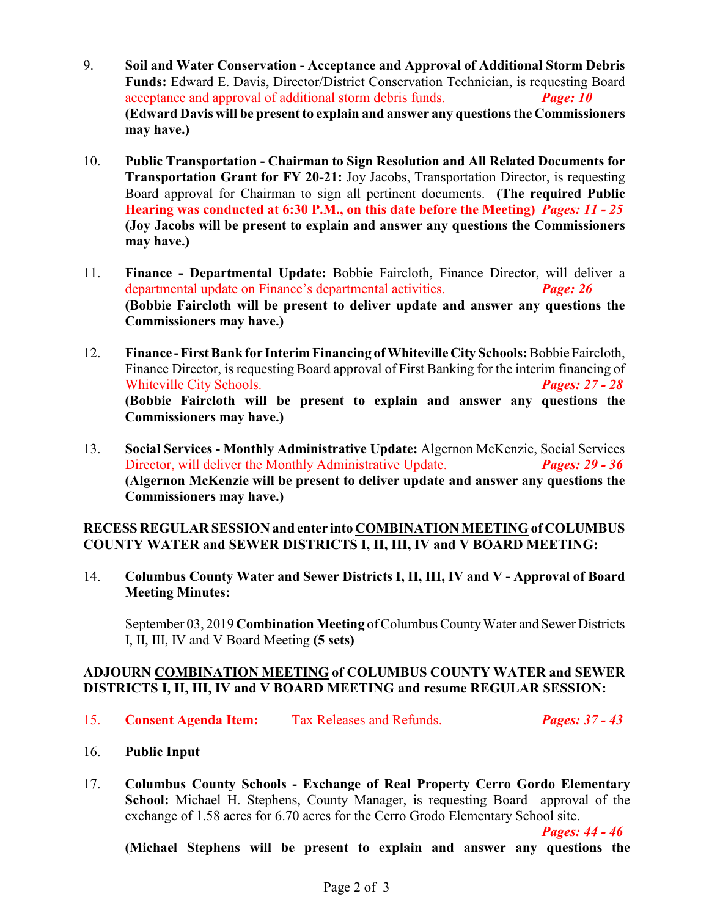- 9. **Soil and Water Conservation Acceptance and Approval of Additional Storm Debris Funds:** Edward E. Davis, Director/District Conservation Technician, is requesting Board acceptance and approval of additional storm debris funds. *Page: 10* **(Edward Davis will be present to explain and answer any questionsthe Commissioners may have.)**
- 10. **Public Transportation Chairman to Sign Resolution and All Related Documents for Transportation Grant for FY 20-21:** Joy Jacobs, Transportation Director, is requesting Board approval for Chairman to sign all pertinent documents. **(The required Public Hearing was conducted at 6:30 P.M., on this date before the Meeting)** *Pages: 11 - 25* **(Joy Jacobs will be present to explain and answer any questions the Commissioners may have.)**
- 11. **Finance - Departmental Update:** Bobbie Faircloth, Finance Director, will deliver a departmental update on Finance's departmental activities. *Page: 26*  **(Bobbie Faircloth will be present to deliver update and answer any questions the Commissioners may have.)**
- 12. **Finance First Bank for Interim Financing of Whiteville City Schools:** Bobbie Faircloth, Finance Director, is requesting Board approval of First Banking for the interim financing of Whiteville City Schools. *Pages: 27 - 28* **(Bobbie Faircloth will be present to explain and answer any questions the Commissioners may have.)**
- 13. **Social Services Monthly Administrative Update:** Algernon McKenzie, Social Services Director, will deliver the Monthly Administrative Update. *Pages: 29 - 36* **(Algernon McKenzie will be present to deliver update and answer any questions the Commissioners may have.)**

#### **RECESS REGULAR SESSION and enter into COMBINATION MEETING of COLUMBUS COUNTY WATER and SEWER DISTRICTS I, II, III, IV and V BOARD MEETING:**

14. **Columbus County Water and Sewer Districts I, II, III, IV and V - Approval of Board Meeting Minutes:**

September 03, 2019 **Combination Meeting** of Columbus County Water and Sewer Districts I, II, III, IV and V Board Meeting **(5 sets)**

#### **ADJOURN COMBINATION MEETING of COLUMBUS COUNTY WATER and SEWER DISTRICTS I, II, III, IV and V BOARD MEETING and resume REGULAR SESSION:**

- 15. **Consent Agenda Item:** Tax Releases and Refunds. *Pages: 37 43*
	-

- 16. **Public Input**
- 17. **Columbus County Schools Exchange of Real Property Cerro Gordo Elementary School:** Michael H. Stephens, County Manager, is requesting Board approval of the exchange of 1.58 acres for 6.70 acres for the Cerro Grodo Elementary School site.

*Pages: 44 - 46*

**(Michael Stephens will be present to explain and answer any questions the**